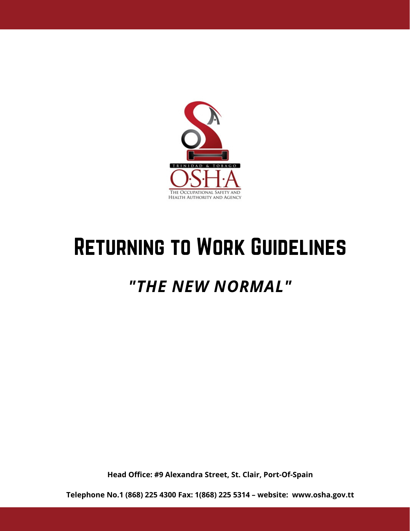

## Returning to Work Guidelines

## *"THE NEW NORMAL"*

**Head Office: #9 Alexandra Street, St. Clair, Port-Of-Spain**

**Telephone No.1 (868) 225 4300 Fax: 1(868) 225 5314 – website: www.osha.gov.tt**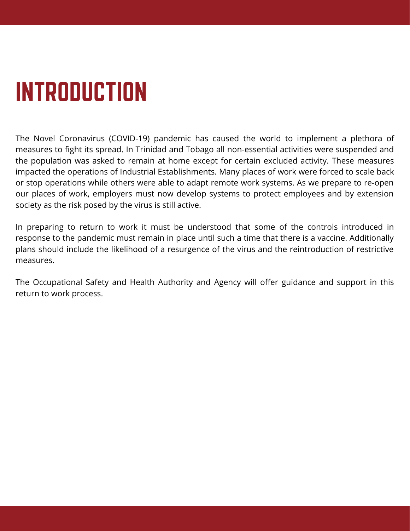# INTRODUCTION

The Novel Coronavirus (COVID-19) pandemic has caused the world to implement a plethora of measures to fight its spread. In Trinidad and Tobago all non-essential activities were suspended and the population was asked to remain at home except for certain excluded activity. These measures impacted the operations of Industrial Establishments. Many places of work were forced to scale back or stop operations while others were able to adapt remote work systems. As we prepare to re-open our places of work, employers must now develop systems to protect employees and by extension society as the risk posed by the virus is still active.

In preparing to return to work it must be understood that some of the controls introduced in response to the pandemic must remain in place until such a time that there is a vaccine. Additionally plans should include the likelihood of a resurgence of the virus and the reintroduction of restrictive measures.

The Occupational Safety and Health Authority and Agency will offer guidance and support in this return to work process.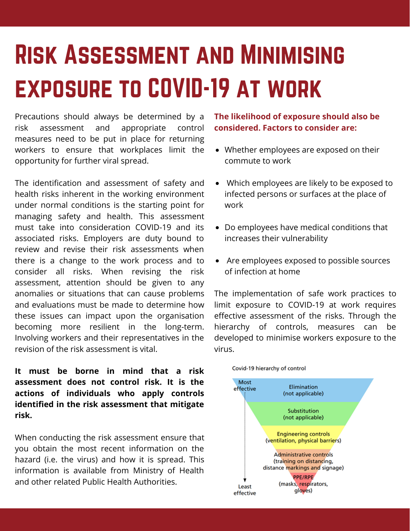## Risk Assessment and Minimising exposure to COVID-19 at work

Precautions should always be determined by a risk assessment and appropriate control measures need to be put in place for returning workers to ensure that workplaces limit the opportunity for further viral spread.

The identification and assessment of safety and health risks inherent in the working environment under normal conditions is the starting point for managing safety and health. This assessment must take into consideration COVID-19 and its associated risks. Employers are duty bound to review and revise their risk assessments when there is a change to the work process and to consider all risks. When revising the risk assessment, attention should be given to any anomalies or situations that can cause problems and evaluations must be made to determine how these issues can impact upon the organisation becoming more resilient in the long-term. Involving workers and their representatives in the revision of the risk assessment is vital.

**It must be borne in mind that a risk assessment does not control risk. It is the actions of individuals who apply controls identified in the risk assessment that mitigate risk.**

When conducting the risk assessment ensure that you obtain the most recent information on the hazard (i.e. the virus) and how it is spread. This information is available from Ministry of Health and other related Public Health Authorities.

**The likelihood of exposure should also be considered. Factors to consider are:**

- Whether employees are exposed on their commute to work
- Which employees are likely to be exposed to infected persons or surfaces at the place of work
- Do employees have medical conditions that increases their vulnerability
- Are employees exposed to possible sources of infection at home

The implementation of safe work practices to limit exposure to COVID-19 at work requires effective assessment of the risks. Through the hierarchy of controls, measures can be developed to minimise workers exposure to the virus.



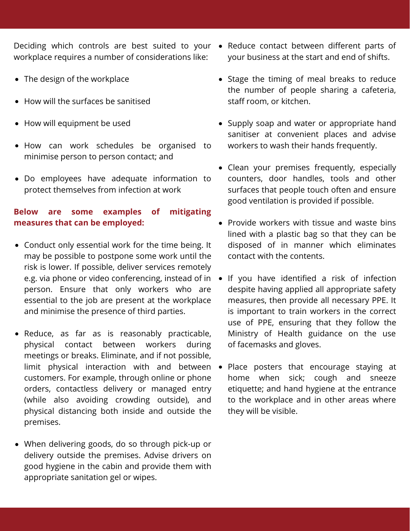Deciding which controls are best suited to your workplace requires a number of considerations like:

- The design of the workplace
- How will the surfaces be sanitised
- How will equipment be used
- How can work schedules be organised to minimise person to person contact; and
- Do employees have adequate information to protect themselves from infection at work

#### **Below are some examples of mitigating measures that can be employed:**

- Conduct only essential work for the time being. It may be possible to postpone some work until the risk is lower. If possible, deliver services remotely e.g. via phone or video conferencing, instead of in person. Ensure that only workers who are essential to the job are present at the workplace and minimise the presence of third parties.
- Reduce, as far as is reasonably practicable, physical contact between workers during meetings or breaks. Eliminate, and if not possible, limit physical interaction with and between customers. For example, through online or phone orders, contactless delivery or managed entry (while also avoiding crowding outside), and physical distancing both inside and outside the premises.
- When delivering goods, do so through pick-up or delivery outside the premises. Advise drivers on good hygiene in the cabin and provide them with appropriate sanitation gel or wipes.
- Reduce contact between different parts of  $\bullet$ your business at the start and end of shifts.
- Stage the timing of meal breaks to reduce the number of people sharing a cafeteria, staff room, or kitchen.
- Supply soap and water or appropriate hand sanitiser at convenient places and advise workers to wash their hands frequently.
- Clean your premises frequently, especially counters, door handles, tools and other surfaces that people touch often and ensure good ventilation is provided if possible.
- Provide workers with tissue and waste bins lined with a plastic bag so that they can be disposed of in manner which eliminates contact with the contents.
- If you have identified a risk of infection despite having applied all appropriate safety measures, then provide all necessary PPE. It is important to train workers in the correct use of PPE, ensuring that they follow the Ministry of Health guidance on the use of facemasks and gloves.
- $\bullet$ Place posters that encourage staying at home when sick; cough and sneeze etiquette; and hand hygiene at the entrance to the workplace and in other areas where they will be visible.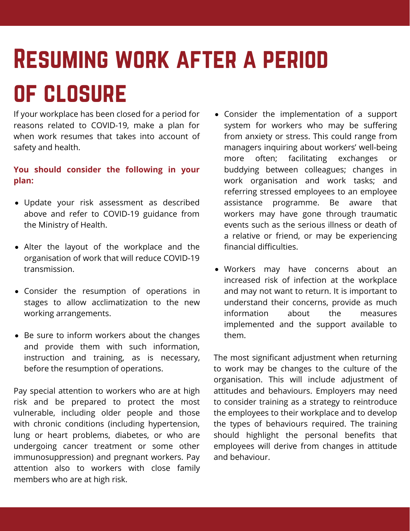## Resuming work after a period of closure

If your workplace has been closed for a period for reasons related to COVID-19, make a plan for when work resumes that takes into account of safety and health.

#### **You should consider the following in your plan:**

- Update your risk assessment as described above and refer to COVID-19 guidance from the Ministry of Health.
- Alter the layout of the workplace and the organisation of work that will reduce COVID-19 transmission.
- Consider the resumption of operations in stages to allow acclimatization to the new working arrangements.
- Be sure to inform workers about the changes and provide them with such information, instruction and training, as is necessary, before the resumption of operations.

Pay special attention to workers who are at high risk and be prepared to protect the most vulnerable, including older people and those with chronic conditions (including hypertension, lung or heart problems, diabetes, or who are undergoing cancer treatment or some other immunosuppression) and pregnant workers. Pay attention also to workers with close family members who are at high risk.

- Consider the implementation of a support system for workers who may be suffering from anxiety or stress. This could range from managers inquiring about workers' well-being more often; facilitating exchanges or buddying between colleagues; changes in work organisation and work tasks; and referring stressed employees to an employee assistance programme. Be aware that workers may have gone through traumatic events such as the serious illness or death of a relative or friend, or may be experiencing financial difficulties.
- Workers may have concerns about an increased risk of infection at the workplace and may not want to return. It is important to understand their concerns, provide as much information about the measures implemented and the support available to them.

The most significant adjustment when returning to work may be changes to the culture of the organisation. This will include adjustment of attitudes and behaviours. Employers may need to consider training as a strategy to reintroduce the employees to their workplace and to develop the types of behaviours required. The training should highlight the personal benefits that employees will derive from changes in attitude and behaviour.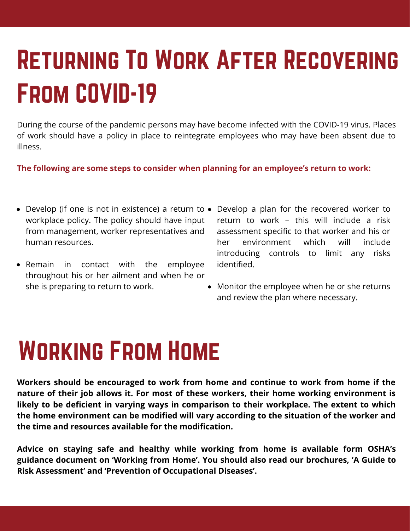## Returning To Work After Recovering From COVID-19

During the course of the pandemic persons may have become infected with the COVID-19 virus. Places of work should have a policy in place to reintegrate employees who may have been absent due to illness.

**The following are some steps to consider when planning for an employee's return to work:**

- Develop (if one is not in existence) a return to workplace policy. The policy should have input from management, worker representatives and human resources.
- Remain in contact with the employee throughout his or her ailment and when he or she is preparing to return to work.
- Develop a plan for the recovered worker to return to work – this will include a risk assessment specific to that worker and his or her environment which will include introducing controls to limit any risks identified.
- Monitor the employee when he or she returns and review the plan where necessary.

## Working From Home

**Workers should be encouraged to work from home and continue to work from home if the nature of their job allows it. For most of these workers, their home working environment is likely to be deficient in varying ways in comparison to their workplace. The extent to which the home environment can be modified will vary according to the situation of the worker and the time and resources available for the modification.**

**Advice on staying safe and healthy while working from home is available form OSHA's guidance document on 'Working from Home'. You should also read our brochures, 'A Guide to Risk Assessment' and 'Prevention of Occupational Diseases'.**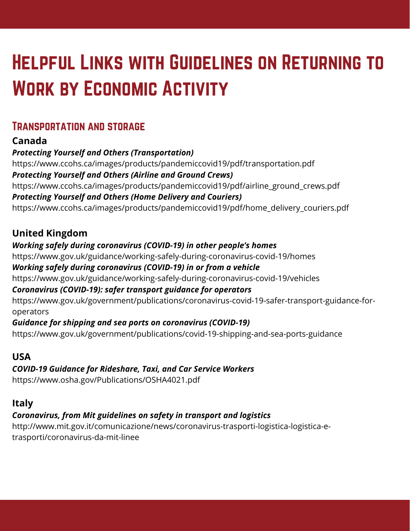## Helpful Links with Guidelines on Returning to WORK BY ECONOMIC ACTIVITY

## Transportation and storage

## **Canada**

*Protecting Yourself and Others (Transportation)* https://www.ccohs.ca/images/products/pandemiccovid19/pdf/transportation.pdf *Protecting Yourself and Others (Airline and Ground Crews)* https://www.ccohs.ca/images/products/pandemiccovid19/pdf/airline\_ground\_crews.pdf *Protecting Yourself and Others (Home Delivery and Couriers)* https://www.ccohs.ca/images/products/pandemiccovid19/pdf/home\_delivery\_couriers.pdf

## **United Kingdom**

#### *Working safely during coronavirus (COVID-19) in other people's homes*

https://www.gov.uk/guidance/working-safely-during-coronavirus-covid-19/homes

#### *Working safely during coronavirus (COVID-19) in or from a vehicle*

https://www.gov.uk/guidance/working-safely-during-coronavirus-covid-19/vehicles

#### *Coronavirus (COVID-19): safer transport guidance for operators*

https://www.gov.uk/government/publications/coronavirus-covid-19-safer-transport-guidance-foroperators

#### *Guidance for shipping and sea ports on coronavirus (COVID-19)*

https://www.gov.uk/government/publications/covid-19-shipping-and-sea-ports-guidance

## **USA**

### *COVID-19 Guidance for Rideshare, Taxi, and Car Service Workers*

https://www.osha.gov/Publications/OSHA4021.pdf

## **Italy**

### *Coronavirus, from Mit guidelines on safety in transport and logistics*

http://www.mit.gov.it/comunicazione/news/coronavirus-trasporti-logistica-logistica-etrasporti/coronavirus-da-mit-linee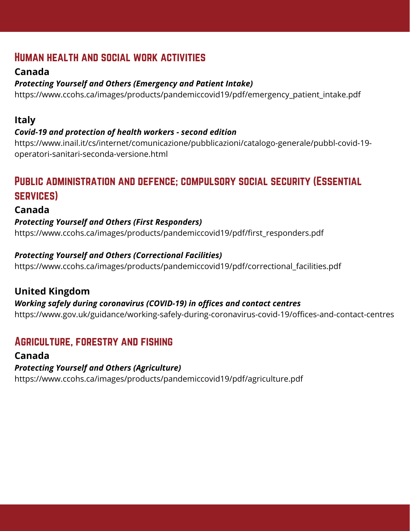## Human health and social work activities

## **Canada**

#### *Protecting Yourself and Others (Emergency and Patient Intake)*

https://www.ccohs.ca/images/products/pandemiccovid19/pdf/emergency\_patient\_intake.pdf

#### **Italy**

#### *Covid-19 and protection of health workers - second edition*

https://www.inail.it/cs/internet/comunicazione/pubblicazioni/catalogo-generale/pubbl-covid-19 operatori-sanitari-seconda-versione.html

## Public administration and defence; compulsory social security (Essential services)

#### **Canada**

#### *Protecting Yourself and Others (First Responders)*

https://www.ccohs.ca/images/products/pandemiccovid19/pdf/first\_responders.pdf

#### *Protecting Yourself and Others (Correctional Facilities)*

https://www.ccohs.ca/images/products/pandemiccovid19/pdf/correctional\_facilities.pdf

### **United Kingdom**

#### *Working safely during coronavirus (COVID-19) in offices and contact centres*

https://www.gov.uk/guidance/working-safely-during-coronavirus-covid-19/offices-and-contact-centres

## Agriculture, forestry and fishing

#### **Canada**

#### *Protecting Yourself and Others (Agriculture)*

https://www.ccohs.ca/images/products/pandemiccovid19/pdf/agriculture.pdf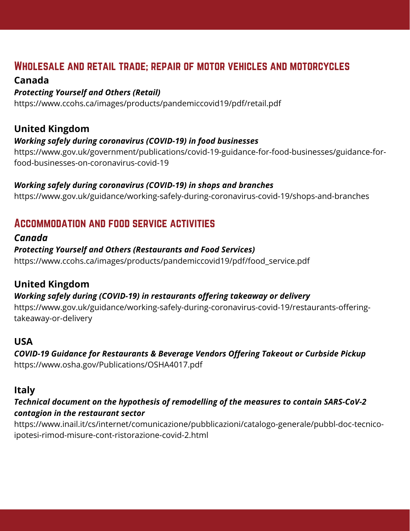## Wholesale and retail trade; repair of motor vehicles and motorcycles

#### **Canada**

#### *Protecting Yourself and Others (Retail)*

https://www.ccohs.ca/images/products/pandemiccovid19/pdf/retail.pdf

### **United Kingdom**

#### *Working safely during coronavirus (COVID-19) in food businesses*

https://www.gov.uk/government/publications/covid-19-guidance-for-food-businesses/guidance-forfood-businesses-on-coronavirus-covid-19

#### *Working safely during coronavirus (COVID-19) in shops and branches*

https://www.gov.uk/guidance/working-safely-during-coronavirus-covid-19/shops-and-branches

## Accommodation and food service activities

#### *Canada*

#### *Protecting Yourself and Others (Restaurants and Food Services)*

https://www.ccohs.ca/images/products/pandemiccovid19/pdf/food\_service.pdf

### **United Kingdom**

#### *Working safely during (COVID-19) in restaurants offering takeaway or delivery*

https://www.gov.uk/guidance/working-safely-during-coronavirus-covid-19/restaurants-offeringtakeaway-or-delivery

#### **USA**

#### *COVID-19 Guidance for Restaurants & Beverage Vendors Offering Takeout or Curbside Pickup*

https://www.osha.gov/Publications/OSHA4017.pdf

#### **Italy**

#### *Technical document on the hypothesis of remodelling of the measures to contain SARS-CoV-2 contagion in the restaurant sector*

https://www.inail.it/cs/internet/comunicazione/pubblicazioni/catalogo-generale/pubbl-doc-tecnicoipotesi-rimod-misure-cont-ristorazione-covid-2.html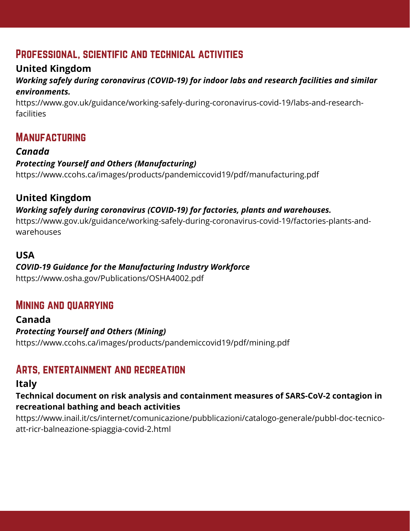## Professional, scientific and technical activities

## **United Kingdom**

#### *Working safely during coronavirus (COVID-19) for indoor labs and research facilities and similar environments.*

https://www.gov.uk/guidance/working-safely-during-coronavirus-covid-19/labs-and-researchfacilities

## **MANUFACTURING**

#### *Canada Protecting Yourself and Others (Manufacturing)*

https://www.ccohs.ca/images/products/pandemiccovid19/pdf/manufacturing.pdf

## **United Kingdom**

#### *Working safely during coronavirus (COVID-19) for factories, plants and warehouses.*

https://www.gov.uk/guidance/working-safely-during-coronavirus-covid-19/factories-plants-andwarehouses

#### **USA**

#### *COVID-19 Guidance for the Manufacturing Industry Workforce*

https://www.osha.gov/Publications/OSHA4002.pdf

## Mining and quarrying

#### **Canada** *Protecting Yourself and Others (Mining)* https://www.ccohs.ca/images/products/pandemiccovid19/pdf/mining.pdf

## Arts, entertainment and recreation

## **Italy**

#### **Technical document on risk analysis and containment measures of SARS-CoV-2 contagion in recreational bathing and beach activities**

https://www.inail.it/cs/internet/comunicazione/pubblicazioni/catalogo-generale/pubbl-doc-tecnicoatt-ricr-balneazione-spiaggia-covid-2.html